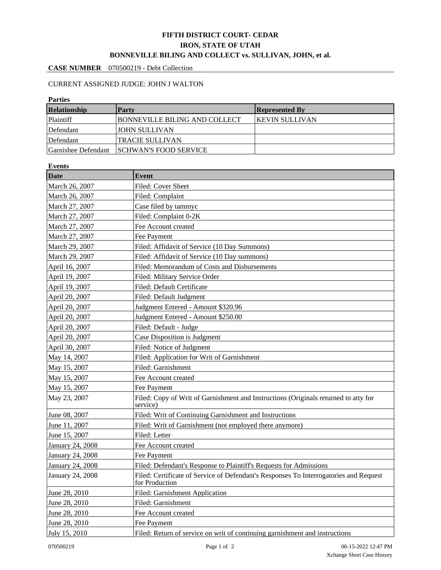## **FIFTH DISTRICT COURT- CEDAR IRON, STATE OF UTAH BONNEVILLE BILING AND COLLECT vs. SULLIVAN, JOHN, et al.**

## **CASE NUMBER** 070500219 - Debt Collection

### CURRENT ASSIGNED JUDGE: JOHN J WALTON

#### **Parties**

| Relationship        | Party                                | <b>Represented By</b>  |
|---------------------|--------------------------------------|------------------------|
| <b>Plaintiff</b>    | <b>BONNEVILLE BILING AND COLLECT</b> | <b>IKEVIN SULLIVAN</b> |
| Defendant           | JOHN SULLIVAN                        |                        |
| Defendant           | <b>TRACIE SULLIVAN</b>               |                        |
| Garnishee Defendant | <b>SCHWAN'S FOOD SERVICE</b>         |                        |

# **Events**

| Date             | Event                                                                                                   |  |  |  |
|------------------|---------------------------------------------------------------------------------------------------------|--|--|--|
| March 26, 2007   | Filed: Cover Sheet                                                                                      |  |  |  |
| March 26, 2007   | Filed: Complaint                                                                                        |  |  |  |
| March 27, 2007   | Case filed by tammyc                                                                                    |  |  |  |
| March 27, 2007   | Filed: Complaint 0-2K                                                                                   |  |  |  |
| March 27, 2007   | Fee Account created                                                                                     |  |  |  |
| March 27, 2007   | Fee Payment                                                                                             |  |  |  |
| March 29, 2007   | Filed: Affidavit of Service (10 Day Summons)                                                            |  |  |  |
| March 29, 2007   | Filed: Affidavit of Service (10 Day summons)                                                            |  |  |  |
| April 16, 2007   | Filed: Memorandum of Costs and Disbursements                                                            |  |  |  |
| April 19, 2007   | Filed: Military Service Order                                                                           |  |  |  |
| April 19, 2007   | Filed: Default Certificate                                                                              |  |  |  |
| April 20, 2007   | Filed: Default Judgment                                                                                 |  |  |  |
| April 20, 2007   | Judgment Entered - Amount \$320.96                                                                      |  |  |  |
| April 20, 2007   | Judgment Entered - Amount \$250.00                                                                      |  |  |  |
| April 20, 2007   | Filed: Default - Judge                                                                                  |  |  |  |
| April 20, 2007   | Case Disposition is Judgment                                                                            |  |  |  |
| April 30, 2007   | Filed: Notice of Judgment                                                                               |  |  |  |
| May 14, 2007     | Filed: Application for Writ of Garnishment                                                              |  |  |  |
| May 15, 2007     | Filed: Garnishment                                                                                      |  |  |  |
| May 15, 2007     | Fee Account created                                                                                     |  |  |  |
| May 15, 2007     | Fee Payment                                                                                             |  |  |  |
| May 23, 2007     | Filed: Copy of Writ of Garnishment and Instructions (Originals returned to atty for<br>service)         |  |  |  |
| June 08, 2007    | Filed: Writ of Continuing Garnishment and Instructions                                                  |  |  |  |
| June 11, 2007    | Filed: Writ of Garnishment (not employed there anymore)                                                 |  |  |  |
| June 15, 2007    | Filed: Letter                                                                                           |  |  |  |
| January 24, 2008 | Fee Account created                                                                                     |  |  |  |
| January 24, 2008 | Fee Payment                                                                                             |  |  |  |
| January 24, 2008 | Filed: Defendant's Response to Plaintiff's Requests for Admissions                                      |  |  |  |
| January 24, 2008 | Filed: Certificate of Service of Defendant's Responses To Interrogatories and Request<br>for Production |  |  |  |
| June 28, 2010    | Filed: Garnishment Application                                                                          |  |  |  |
| June 28, 2010    | Filed: Garnishment                                                                                      |  |  |  |
| June 28, 2010    | Fee Account created                                                                                     |  |  |  |
| June 28, 2010    | Fee Payment                                                                                             |  |  |  |
| July 15, 2010    | Filed: Return of service on writ of continuing garnishment and instructions                             |  |  |  |